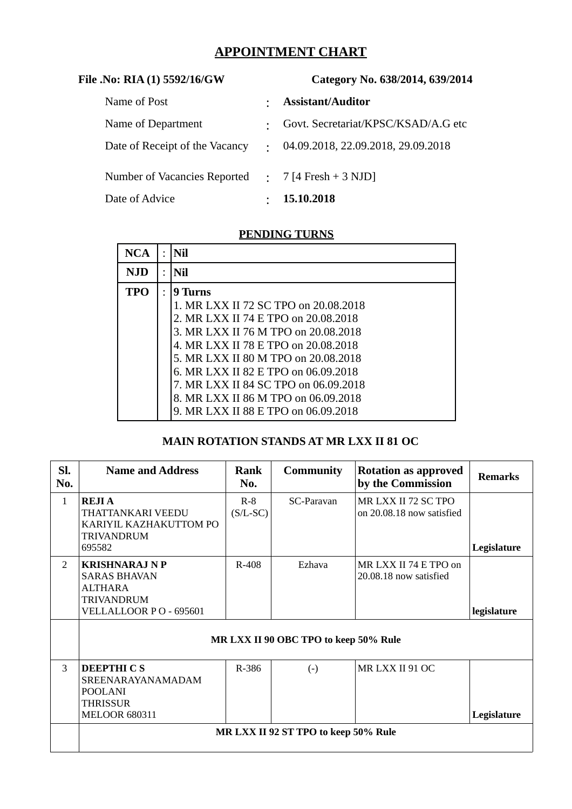# **APPOINTMENT CHART**

| File .No: RIA (1) 5592/16/GW   | Category No. 638/2014, 639/2014 |                                     |  |
|--------------------------------|---------------------------------|-------------------------------------|--|
| Name of Post                   | $\bullet$                       | <b>Assistant/Auditor</b>            |  |
| Name of Department             | $\bullet$                       | Govt. Secretariat/KPSC/KSAD/A.G etc |  |
| Date of Receipt of the Vacancy | $\bullet$                       | 04.09.2018, 22.09.2018, 29.09.2018  |  |
| Number of Vacancies Reported   |                                 | $\therefore$ 7 [4 Fresh + 3 NJD]    |  |
| Date of Advice                 | $\bullet$                       | 15.10.2018                          |  |

### **PENDING TURNS**

| $\bullet$ | Nil                                                                                                                                                                                                                                                                                                                               |
|-----------|-----------------------------------------------------------------------------------------------------------------------------------------------------------------------------------------------------------------------------------------------------------------------------------------------------------------------------------|
|           | Nil                                                                                                                                                                                                                                                                                                                               |
|           | 9 Turns<br>1. MR LXX II 72 SC TPO on 20.08.2018<br>2. MR LXX II 74 E TPO on 20.08.2018<br>3. MR LXX II 76 M TPO on 20.08.2018<br>4. MR LXX II 78 E TPO on 20.08.2018<br>5. MR LXX II 80 M TPO on 20.08.2018<br>6. MR LXX II 82 E TPO on 06.09.2018<br>7. MR LXX II 84 SC TPO on 06.09.2018<br>8. MR LXX II 86 M TPO on 06.09.2018 |
|           |                                                                                                                                                                                                                                                                                                                                   |

### **MAIN ROTATION STANDS AT MR LXX II 81 OC**

| SI.<br>No.     | <b>Name and Address</b>                                                                                | Rank<br>No.         | <b>Community</b>  | <b>Rotation as approved</b><br>by the Commission | <b>Remarks</b> |  |  |  |
|----------------|--------------------------------------------------------------------------------------------------------|---------------------|-------------------|--------------------------------------------------|----------------|--|--|--|
| $\mathbf{1}$   | <b>REJIA</b><br>THATTANKARI VEEDU<br>KARIYIL KAZHAKUTTOM PO<br><b>TRIVANDRUM</b><br>695582             | $R-8$<br>$(S/L-SC)$ | SC-Paravan        | MR LXX II 72 SC TPO<br>on 20.08.18 now satisfied | Legislature    |  |  |  |
| $\overline{2}$ | <b>KRISHNARAJ N P</b><br><b>SARAS BHAVAN</b><br>ALTHARA<br><b>TRIVANDRUM</b><br>VELLALLOOR PO - 695601 | R-408               | Ezhava            | MR LXX II 74 E TPO on<br>20.08.18 now satisfied  | legislature    |  |  |  |
|                | MR LXX II 90 OBC TPO to keep 50% Rule                                                                  |                     |                   |                                                  |                |  |  |  |
| 3              | <b>DEEPTHICS</b><br>SREENARAYANAMADAM<br><b>POOLANI</b><br>THRISSUR<br><b>MELOOR 680311</b>            | R-386               | $\left( -\right)$ | MR LXX II 91 OC                                  | Legislature    |  |  |  |
|                | MR LXX II 92 ST TPO to keep 50% Rule                                                                   |                     |                   |                                                  |                |  |  |  |